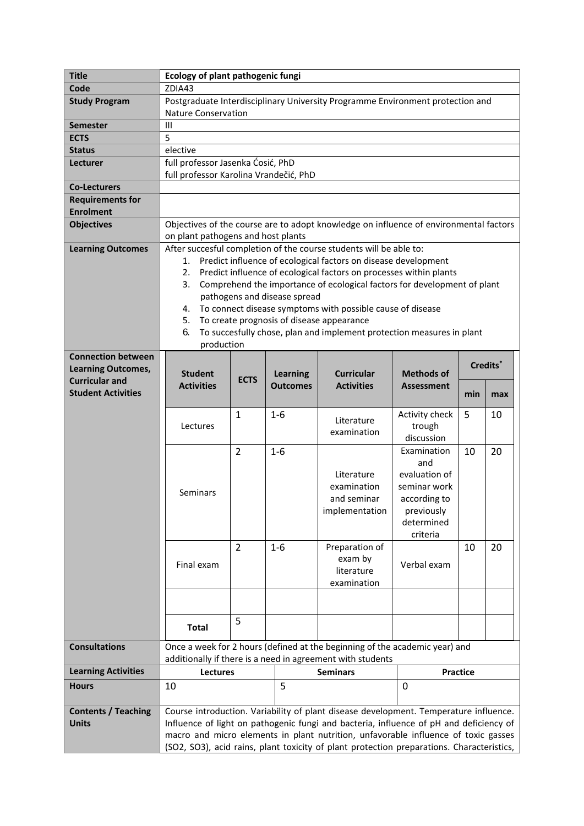| <b>Title</b>               | Ecology of plant pathogenic fungi                                                                                                                                               |                                                                          |                 |                                                                                           |                        |                 |     |  |
|----------------------------|---------------------------------------------------------------------------------------------------------------------------------------------------------------------------------|--------------------------------------------------------------------------|-----------------|-------------------------------------------------------------------------------------------|------------------------|-----------------|-----|--|
| Code                       | ZDIA43                                                                                                                                                                          |                                                                          |                 |                                                                                           |                        |                 |     |  |
| <b>Study Program</b>       | Postgraduate Interdisciplinary University Programme Environment protection and                                                                                                  |                                                                          |                 |                                                                                           |                        |                 |     |  |
|                            | <b>Nature Conservation</b>                                                                                                                                                      |                                                                          |                 |                                                                                           |                        |                 |     |  |
| Semester                   | III                                                                                                                                                                             |                                                                          |                 |                                                                                           |                        |                 |     |  |
| <b>ECTS</b>                | 5                                                                                                                                                                               |                                                                          |                 |                                                                                           |                        |                 |     |  |
| <b>Status</b>              | elective                                                                                                                                                                        |                                                                          |                 |                                                                                           |                        |                 |     |  |
| Lecturer                   | full professor Jasenka Ćosić, PhD                                                                                                                                               |                                                                          |                 |                                                                                           |                        |                 |     |  |
|                            | full professor Karolina Vrandečić, PhD                                                                                                                                          |                                                                          |                 |                                                                                           |                        |                 |     |  |
| <b>Co-Lecturers</b>        |                                                                                                                                                                                 |                                                                          |                 |                                                                                           |                        |                 |     |  |
| <b>Requirements for</b>    |                                                                                                                                                                                 |                                                                          |                 |                                                                                           |                        |                 |     |  |
| <b>Enrolment</b>           |                                                                                                                                                                                 |                                                                          |                 |                                                                                           |                        |                 |     |  |
| <b>Objectives</b>          | Objectives of the course are to adopt knowledge on influence of environmental factors                                                                                           |                                                                          |                 |                                                                                           |                        |                 |     |  |
|                            | on plant pathogens and host plants                                                                                                                                              |                                                                          |                 |                                                                                           |                        |                 |     |  |
| <b>Learning Outcomes</b>   | After succesful completion of the course students will be able to:                                                                                                              |                                                                          |                 |                                                                                           |                        |                 |     |  |
|                            | Predict influence of ecological factors on disease development<br>1.                                                                                                            |                                                                          |                 |                                                                                           |                        |                 |     |  |
|                            | Predict influence of ecological factors on processes within plants<br>2.                                                                                                        |                                                                          |                 |                                                                                           |                        |                 |     |  |
|                            | Comprehend the importance of ecological factors for development of plant<br>3.                                                                                                  |                                                                          |                 |                                                                                           |                        |                 |     |  |
|                            | pathogens and disease spread                                                                                                                                                    |                                                                          |                 |                                                                                           |                        |                 |     |  |
|                            | To connect disease symptoms with possible cause of disease<br>4.                                                                                                                |                                                                          |                 |                                                                                           |                        |                 |     |  |
|                            | To create prognosis of disease appearance<br>5.                                                                                                                                 |                                                                          |                 |                                                                                           |                        |                 |     |  |
|                            | 6.<br>To succesfully chose, plan and implement protection measures in plant                                                                                                     |                                                                          |                 |                                                                                           |                        |                 |     |  |
| <b>Connection between</b>  | production                                                                                                                                                                      |                                                                          |                 |                                                                                           |                        |                 |     |  |
| <b>Learning Outcomes,</b>  |                                                                                                                                                                                 | Credits*                                                                 |                 |                                                                                           |                        |                 |     |  |
| <b>Curricular and</b>      | <b>Student</b>                                                                                                                                                                  | <b>Curricular</b><br><b>Methods of</b><br><b>Learning</b><br><b>ECTS</b> |                 |                                                                                           |                        |                 |     |  |
| <b>Student Activities</b>  | <b>Activities</b>                                                                                                                                                               |                                                                          | <b>Outcomes</b> | <b>Activities</b>                                                                         | <b>Assessment</b>      | min             | max |  |
|                            |                                                                                                                                                                                 |                                                                          |                 |                                                                                           |                        |                 |     |  |
|                            |                                                                                                                                                                                 | $\mathbf{1}$                                                             | $1-6$           |                                                                                           | Activity check         | 5               | 10  |  |
|                            | Lectures                                                                                                                                                                        |                                                                          |                 | Literature<br>examination                                                                 | trough                 |                 |     |  |
|                            |                                                                                                                                                                                 |                                                                          |                 |                                                                                           | discussion             |                 |     |  |
|                            |                                                                                                                                                                                 | $\overline{2}$                                                           | $1-6$           |                                                                                           | Examination            | 10              | 20  |  |
|                            |                                                                                                                                                                                 |                                                                          |                 |                                                                                           | and                    |                 |     |  |
|                            |                                                                                                                                                                                 |                                                                          |                 | Literature                                                                                | evaluation of          |                 |     |  |
|                            | Seminars                                                                                                                                                                        |                                                                          |                 | examination                                                                               | seminar work           |                 |     |  |
|                            |                                                                                                                                                                                 |                                                                          |                 | and seminar                                                                               | according to           |                 |     |  |
|                            |                                                                                                                                                                                 |                                                                          |                 | implementation                                                                            | previously             |                 |     |  |
|                            |                                                                                                                                                                                 |                                                                          |                 |                                                                                           | determined<br>criteria |                 |     |  |
|                            |                                                                                                                                                                                 |                                                                          |                 | Preparation of                                                                            |                        |                 |     |  |
|                            |                                                                                                                                                                                 | $\overline{2}$                                                           | $1 - 6$         | exam by                                                                                   |                        | 10              | 20  |  |
|                            | Final exam                                                                                                                                                                      |                                                                          |                 | literature                                                                                | Verbal exam            |                 |     |  |
|                            |                                                                                                                                                                                 |                                                                          |                 | examination                                                                               |                        |                 |     |  |
|                            |                                                                                                                                                                                 |                                                                          |                 |                                                                                           |                        |                 |     |  |
|                            |                                                                                                                                                                                 |                                                                          |                 |                                                                                           |                        |                 |     |  |
|                            |                                                                                                                                                                                 | 5                                                                        |                 |                                                                                           |                        |                 |     |  |
|                            | <b>Total</b>                                                                                                                                                                    |                                                                          |                 |                                                                                           |                        |                 |     |  |
| <b>Consultations</b>       |                                                                                                                                                                                 |                                                                          |                 | Once a week for 2 hours (defined at the beginning of the academic year) and               |                        |                 |     |  |
|                            |                                                                                                                                                                                 |                                                                          |                 | additionally if there is a need in agreement with students                                |                        |                 |     |  |
| <b>Learning Activities</b> | Lectures                                                                                                                                                                        |                                                                          |                 | <b>Seminars</b>                                                                           |                        | <b>Practice</b> |     |  |
| <b>Hours</b>               | 10                                                                                                                                                                              |                                                                          | 5               |                                                                                           |                        | $\mathbf 0$     |     |  |
|                            |                                                                                                                                                                                 |                                                                          |                 |                                                                                           |                        |                 |     |  |
| <b>Contents / Teaching</b> |                                                                                                                                                                                 |                                                                          |                 |                                                                                           |                        |                 |     |  |
| <b>Units</b>               | Course introduction. Variability of plant disease development. Temperature influence.<br>Influence of light on pathogenic fungi and bacteria, influence of pH and deficiency of |                                                                          |                 |                                                                                           |                        |                 |     |  |
|                            | macro and micro elements in plant nutrition, unfavorable influence of toxic gasses                                                                                              |                                                                          |                 |                                                                                           |                        |                 |     |  |
|                            |                                                                                                                                                                                 |                                                                          |                 | (SO2, SO3), acid rains, plant toxicity of plant protection preparations. Characteristics, |                        |                 |     |  |